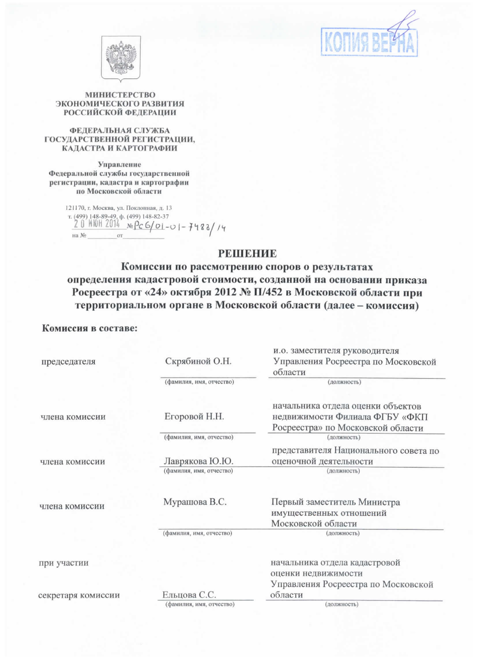



## МИНИСТЕРСТВО ЭКОНОМИЧЕСКОГО РАЗВИТИЯ **РОССИЙСКОЙ ФЕДЕРАЦИИ**

## ФЕЛЕРАЛЬНАЯ СЛУЖБА ГОСУДАРСТВЕННОЙ РЕГИСТРАЦИИ, КАДАСТРА И КАРТОГРАФИИ

Управление Федеральной службы государственной регистрации, кадастра и картографии по Московской области

> 121170, г. Москва, ул. Поклонная, д. 13 121170, r. Mockba, y.t. 110k.nombas, 4.<br>r. (499) 148-89-49, p. (499) 148-82-37<br><u>2 0 MOH 2014 No Pc G</u>/01-0 1 - 7 4 8 8 / 1 4 на  $N_2$

## **РЕШЕНИЕ**

Комиссии по рассмотрению споров о результатах определения кадастровой стоимости, созданной на основании приказа Росреестра от «24» октября 2012 № П/452 в Московской области при территориальном органе в Московской области (далее - комиссия)

## Комиссия в составе:

| председателя       | Скрябиной О.Н.           | и.о. заместителя руководителя<br>Управления Росреестра по Московской<br>области                          |
|--------------------|--------------------------|----------------------------------------------------------------------------------------------------------|
|                    | (фамилия, имя, отчество) | (должность)                                                                                              |
| члена комиссии     | Егоровой Н.Н.            | начальника отдела оценки объектов<br>недвижимости Филиала ФГБУ «ФКП<br>Росреестра» по Московской области |
|                    | (фамилия, имя, отчество) | (должность)                                                                                              |
| члена комиссии     | Лаврякова Ю.Ю.           | представителя Национального совета по<br>оценочной деятельности                                          |
|                    | (фамилия, имя, отчество) | (должность)                                                                                              |
| члена комиссии     | Мурашова В.С.            | Первый заместитель Министра<br>имущественных отношений<br>Московской области                             |
|                    | (фамилия, имя, отчество) | (должность)                                                                                              |
| при участии        |                          | начальника отдела кадастровой<br>оценки недвижимости<br>Управления Росреестра по Московской              |
| секретаря комиссии | Ельцова С.С.             | области                                                                                                  |
|                    | (фамилия, имя, отчество) | (должность)                                                                                              |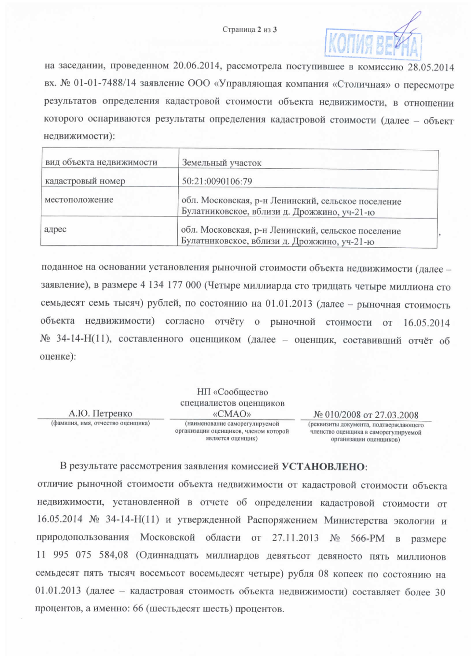

на заседании, проведенном 20.06.2014, рассмотрела поступившее в комиссию 28.05.2014 вх. № 01-01-7488/14 заявление ООО «Управляющая компания «Столичная» о пересмотре результатов определения кадастровой стоимости объекта недвижимости, в отношении которого оспариваются результаты определения кадастровой стоимости (далее - объект недвижимости):

| вид объекта недвижимости                                                                                   | Земельный участок                                                                                 |  |
|------------------------------------------------------------------------------------------------------------|---------------------------------------------------------------------------------------------------|--|
| кадастровый номер                                                                                          | 50:21:0090106:79                                                                                  |  |
| местоположение                                                                                             | обл. Московская, р-н Ленинский, сельское поселение<br>Булатниковское, вблизи д. Дрожжино, уч-21-ю |  |
| обл. Московская, р-н Ленинский, сельское поселение<br>адрес<br>Булатниковское, вблизи д. Дрожжино, уч-21-ю |                                                                                                   |  |

поданное на основании установления рыночной стоимости объекта недвижимости (далее заявление), в размере 4 134 177 000 (Четыре миллиарда сто тридцать четыре миллиона сто семьдесят семь тысяч) рублей, по состоянию на 01.01.2013 (далее - рыночная стоимость объекта недвижимости) согласно отчёту о рыночной стоимости от 16.05.2014 № 34-14-Н(11), составленного оценщиком (далее - оценщик, составивший отчёт об оценке):

|                                   | НП «Сообщество                                                                               |                                                                                                          |
|-----------------------------------|----------------------------------------------------------------------------------------------|----------------------------------------------------------------------------------------------------------|
|                                   | специалистов оценщиков                                                                       |                                                                                                          |
| А.Ю. Петренко                     | «CMAO»                                                                                       | № 010/2008 от 27.03.2008                                                                                 |
| (фамилия, имя, отчество оценщика) | (наименование саморегулируемой<br>организации оценщиков, членом которой<br>является оценшик) | (реквизиты документа, подтверждающего<br>членство оценщика в саморегулируемой<br>организации оценшиков). |

В результате рассмотрения заявления комиссией УСТАНОВЛЕНО:

отличие рыночной стоимости объекта недвижимости от кадастровой стоимости объекта недвижимости, установленной в отчете об определении кадастровой стоимости от 16.05.2014 № 34-14-Н(11) и утвержденной Распоряжением Министерства экологии и природопользования Московской области от 27.11.2013 № 566-РМ в размере 11 995 075 584,08 (Одиннадцать миллиардов девятьсот девяносто пять миллионов семьдесят пять тысяч восемьсот восемьдесят четыре) рубля 08 копеек по состоянию на 01.01.2013 (далее - кадастровая стоимость объекта недвижимости) составляет более 30 процентов, а именно: 66 (шестьдесят шесть) процентов.